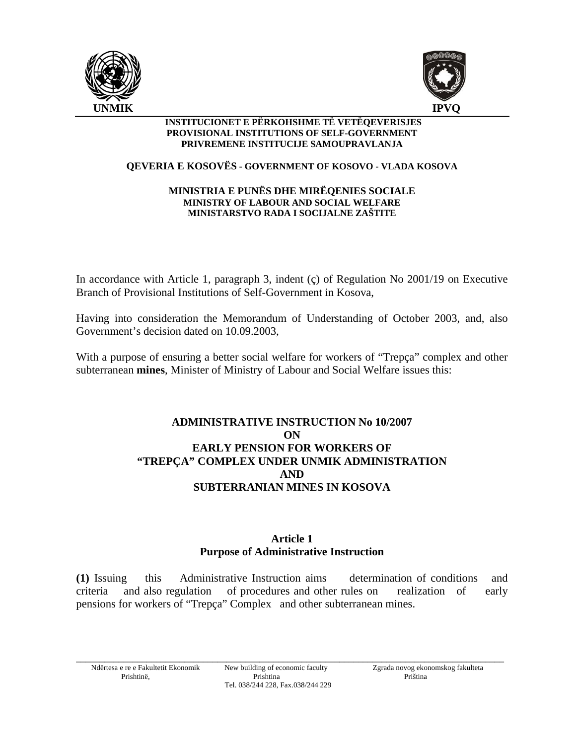



#### **INSTITUCIONET E PËRKOHSHME TË VETËQEVERISJES PROVISIONAL INSTITUTIONS OF SELF-GOVERNMENT PRIVREMENE INSTITUCIJE SAMOUPRAVLANJA**

#### **QEVERIA E KOSOVËS - GOVERNMENT OF KOSOVO - VLADA KOSOVA**

#### **MINISTRIA E PUNËS DHE MIRËQENIES SOCIALE MINISTRY OF LABOUR AND SOCIAL WELFARE MINISTARSTVO RADA I SOCIJALNE ZAŠTITE**

In accordance with Article 1, paragraph 3, indent (ç) of Regulation No 2001/19 on Executive Branch of Provisional Institutions of Self-Government in Kosova,

Having into consideration the Memorandum of Understanding of October 2003, and, also Government's decision dated on 10.09.2003,

With a purpose of ensuring a better social welfare for workers of "Trepça" complex and other subterranean **mines**, Minister of Ministry of Labour and Social Welfare issues this:

# **ADMINISTRATIVE INSTRUCTION No 10/2007 ON EARLY PENSION FOR WORKERS OF "TREPÇA" COMPLEX UNDER UNMIK ADMINISTRATION AND SUBTERRANIAN MINES IN KOSOVA**

### **Article 1 Purpose of Administrative Instruction**

**(1)** Issuing this Administrative Instruction aims determination of conditions and criteria and also regulation of procedures and other rules on realization of early pensions for workers of "Trepça" Complex and other subterranean mines.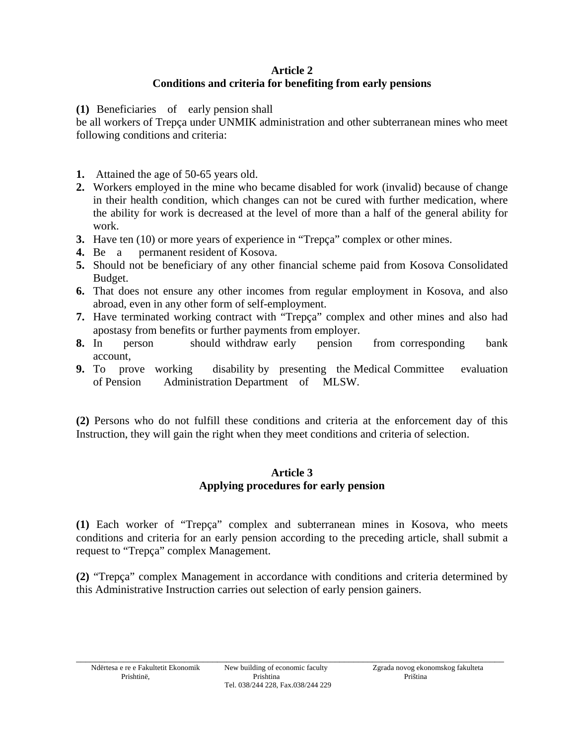## **Article 2 Conditions and criteria for benefiting from early pensions**

**(1)** Beneficiaries of early pension shall

be all workers of Trepça under UNMIK administration and other subterranean mines who meet following conditions and criteria:

- **1.** Attained the age of 50-65 years old.
- **2.** Workers employed in the mine who became disabled for work (invalid) because of change in their health condition, which changes can not be cured with further medication, where the ability for work is decreased at the level of more than a half of the general ability for work.
- **3.** Have ten (10) or more years of experience in "Trepça" complex or other mines.
- **4.** Be a permanent resident of Kosova.
- **5.** Should not be beneficiary of any other financial scheme paid from Kosova Consolidated Budget.
- **6.** That does not ensure any other incomes from regular employment in Kosova, and also abroad, even in any other form of self-employment.
- **7.** Have terminated working contract with "Trepça" complex and other mines and also had apostasy from benefits or further payments from employer.
- **8.** In person should withdraw early pension from corresponding bank account,
- **9.** To prove working disability by presenting the Medical Committee evaluation of Pension Administration Department of MLSW.

**(2)** Persons who do not fulfill these conditions and criteria at the enforcement day of this Instruction, they will gain the right when they meet conditions and criteria of selection.

# **Article 3 Applying procedures for early pension**

**(1)** Each worker of "Trepça" complex and subterranean mines in Kosova, who meets conditions and criteria for an early pension according to the preceding article, shall submit a request to "Trepça" complex Management.

**(2)** "Trepça" complex Management in accordance with conditions and criteria determined by this Administrative Instruction carries out selection of early pension gainers.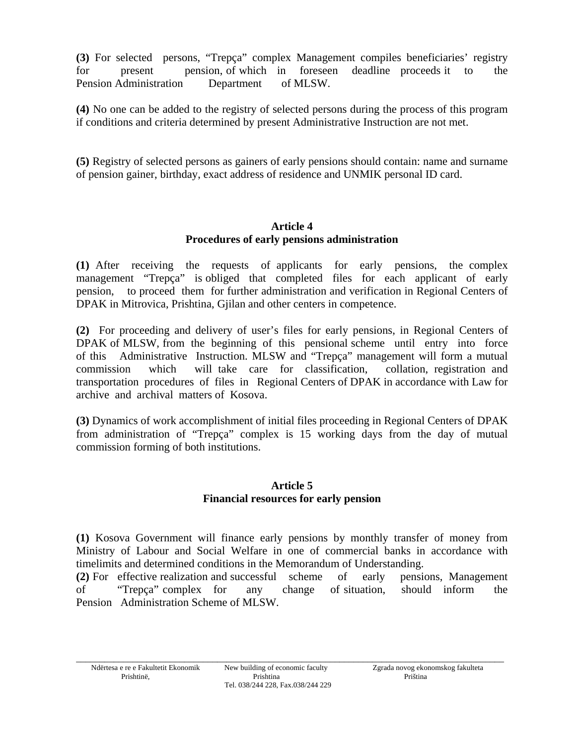**(3)** For selected persons, "Trepça" complex Management compiles beneficiaries' registry for present pension, of which in foreseen deadline proceeds it to the Pension Administration Department of MLSW.

**(4)** No one can be added to the registry of selected persons during the process of this program if conditions and criteria determined by present Administrative Instruction are not met.

**(5)** Registry of selected persons as gainers of early pensions should contain: name and surname of pension gainer, birthday, exact address of residence and UNMIK personal ID card.

#### **Article 4 Procedures of early pensions administration**

**(1)** After receiving the requests of applicants for early pensions, the complex management "Trepça" is obliged that completed files for each applicant of early pension, to proceed them for further administration and verification in Regional Centers of DPAK in Mitrovica, Prishtina, Gjilan and other centers in competence.

**(2)** For proceeding and delivery of user's files for early pensions, in Regional Centers of DPAK of MLSW, from the beginning of this pensional scheme until entry into force of this Administrative Instruction. MLSW and "Trepça" management will form a mutual commission which will take care for classification, collation, registration and transportation procedures of files in Regional Centers of DPAK in accordance with Law for archive and archival matters of Kosova.

**(3)** Dynamics of work accomplishment of initial files proceeding in Regional Centers of DPAK from administration of "Trepça" complex is 15 working days from the day of mutual commission forming of both institutions.

### **Article 5 Financial resources for early pension**

**(1)** Kosova Government will finance early pensions by monthly transfer of money from Ministry of Labour and Social Welfare in one of commercial banks in accordance with timelimits and determined conditions in the Memorandum of Understanding.

**(2)** For effective realization and successful scheme of early pensions, Management of "Trepça" complex for any change of situation, should inform the Pension Administration Scheme of MLSW.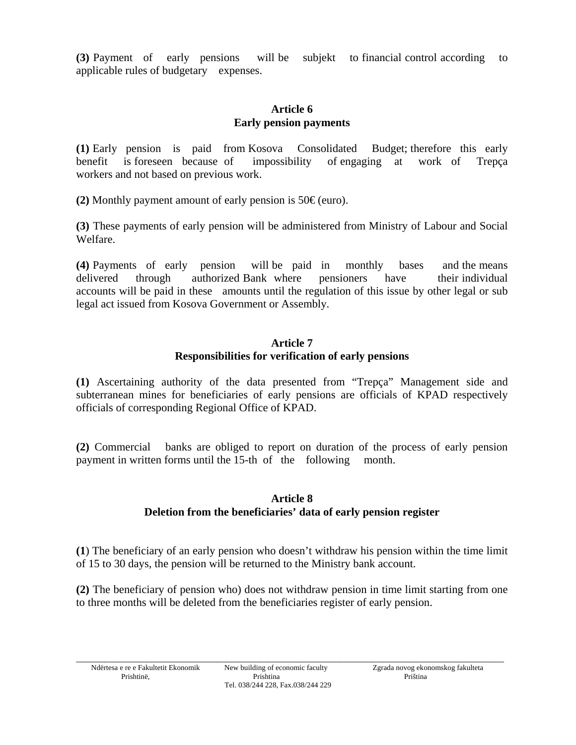**(3)** Payment of early pensions will be subjekt to financial control according to applicable rules of budgetary expenses.

## **Article 6 Early pension payments**

**(1)** Early pension is paid from Kosova Consolidated Budget; therefore this early benefit is foreseen because of impossibility of engaging at work of Trepça workers and not based on previous work.

**(2)** Monthly payment amount of early pension is 50€ (euro).

**(3)** These payments of early pension will be administered from Ministry of Labour and Social Welfare.

**(4)** Payments of early pension will be paid in monthly bases and the means delivered through authorized Bank where pensioners have their individual accounts will be paid in these amounts until the regulation of this issue by other legal or sub legal act issued from Kosova Government or Assembly.

#### **Article 7 Responsibilities for verification of early pensions**

**(1)** Ascertaining authority of the data presented from "Trepça" Management side and subterranean mines for beneficiaries of early pensions are officials of KPAD respectively officials of corresponding Regional Office of KPAD.

**(2)** Commercial banks are obliged to report on duration of the process of early pension payment in written forms until the 15-th of the following month.

# **Article 8 Deletion from the beneficiaries' data of early pension register**

**(1**) The beneficiary of an early pension who doesn't withdraw his pension within the time limit of 15 to 30 days, the pension will be returned to the Ministry bank account.

**(2)** The beneficiary of pension who) does not withdraw pension in time limit starting from one to three months will be deleted from the beneficiaries register of early pension.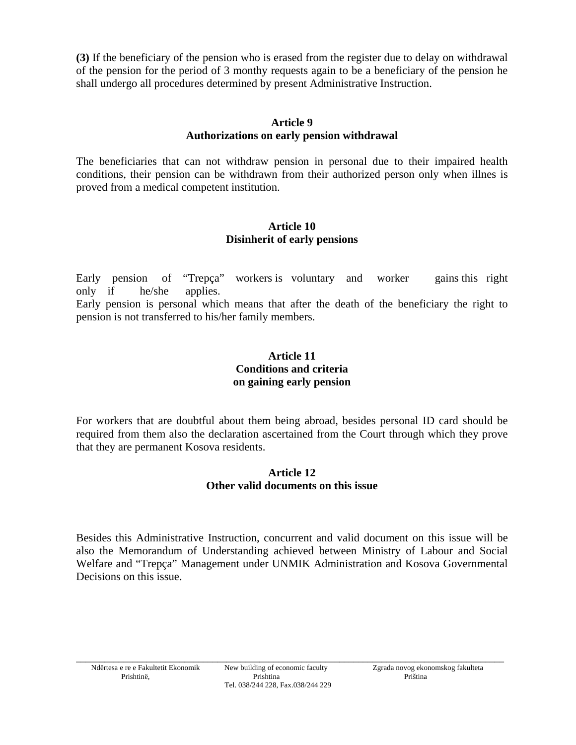**(3)** If the beneficiary of the pension who is erased from the register due to delay on withdrawal of the pension for the period of 3 monthy requests again to be a beneficiary of the pension he shall undergo all procedures determined by present Administrative Instruction.

## **Article 9 Authorizations on early pension withdrawal**

The beneficiaries that can not withdraw pension in personal due to their impaired health conditions, their pension can be withdrawn from their authorized person only when illnes is proved from a medical competent institution.

### **Article 10 Disinherit of early pensions**

Early pension of "Trepça" workers is voluntary and worker gains this right only if he/she applies.

Early pension is personal which means that after the death of the beneficiary the right to pension is not transferred to his/her family members.

### **Article 11 Conditions and criteria on gaining early pension**

For workers that are doubtful about them being abroad, besides personal ID card should be required from them also the declaration ascertained from the Court through which they prove that they are permanent Kosova residents.

### **Article 12 Other valid documents on this issue**

Besides this Administrative Instruction, concurrent and valid document on this issue will be also the Memorandum of Understanding achieved between Ministry of Labour and Social Welfare and "Trepça" Management under UNMIK Administration and Kosova Governmental Decisions on this issue.